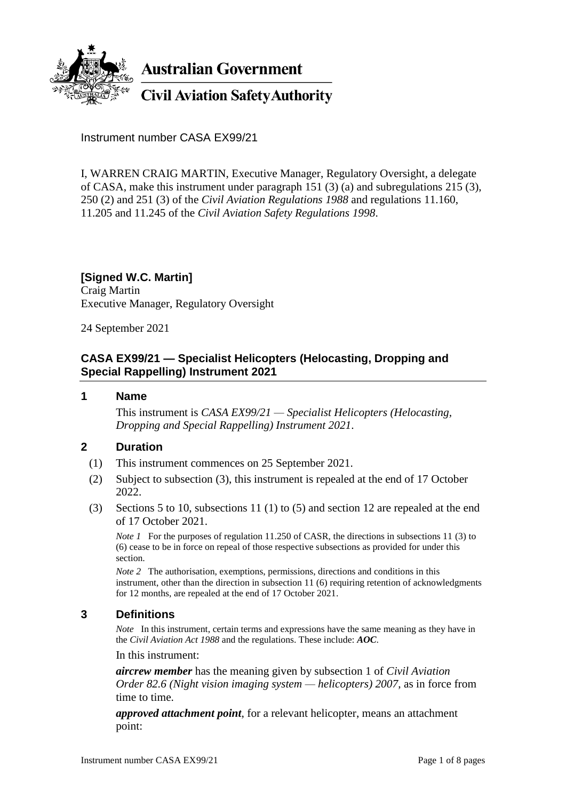

**Australian Government** 

**Civil Aviation Safety Authority** 

Instrument number CASA EX99/21

I, WARREN CRAIG MARTIN, Executive Manager, Regulatory Oversight, a delegate of CASA, make this instrument under paragraph 151 (3) (a) and subregulations 215 (3), 250 (2) and 251 (3) of the *Civil Aviation Regulations 1988* and regulations 11.160, 11.205 and 11.245 of the *Civil Aviation Safety Regulations 1998*.

#### **[Signed W.C. Martin]** Craig Martin

Executive Manager, Regulatory Oversight

24 September 2021

## **CASA EX99/21 — Specialist Helicopters (Helocasting, Dropping and Special Rappelling) Instrument 2021**

### **1 Name**

This instrument is *CASA EX99/21 — Specialist Helicopters (Helocasting, Dropping and Special Rappelling) Instrument 2021*.

# **2 Duration**

- (1) This instrument commences on 25 September 2021.
- (2) Subject to subsection (3), this instrument is repealed at the end of 17 October 2022.
- (3) Sections 5 to 10, subsections 11 (1) to (5) and section 12 are repealed at the end of 17 October 2021.

*Note 1* For the purposes of regulation 11.250 of CASR, the directions in subsections 11 (3) to (6) cease to be in force on repeal of those respective subsections as provided for under this section.

*Note* 2 The authorisation, exemptions, permissions, directions and conditions in this instrument, other than the direction in subsection 11 (6) requiring retention of acknowledgments for 12 months, are repealed at the end of 17 October 2021.

### **3 Definitions**

*Note* In this instrument, certain terms and expressions have the same meaning as they have in the *Civil Aviation Act 1988* and the regulations. These include: *AOC*.

In this instrument:

*aircrew member* has the meaning given by subsection 1 of *Civil Aviation Order 82.6 (Night vision imaging system — helicopters) 2007*, as in force from time to time.

*approved attachment point*, for a relevant helicopter, means an attachment point: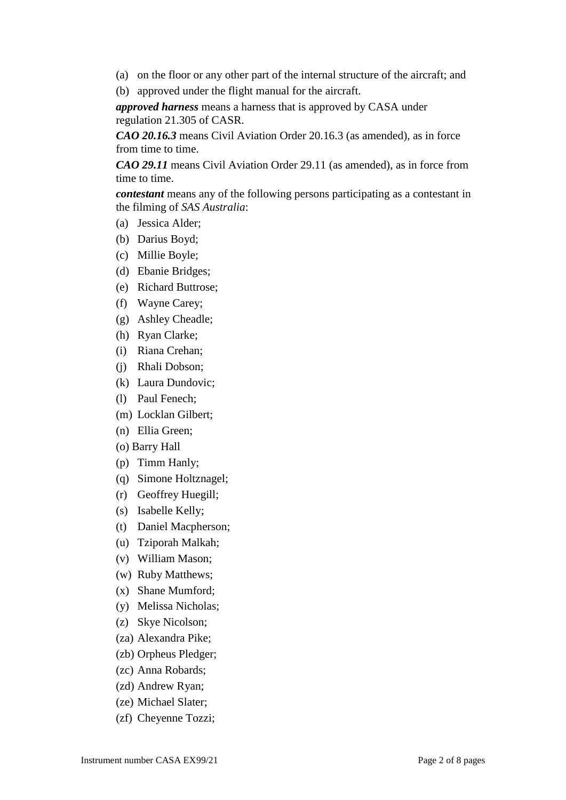- (a) on the floor or any other part of the internal structure of the aircraft; and
- (b) approved under the flight manual for the aircraft.

*approved harness* means a harness that is approved by CASA under regulation 21.305 of CASR.

*CAO 20.16.3* means Civil Aviation Order 20.16.3 (as amended), as in force from time to time.

*CAO 29.11* means Civil Aviation Order 29.11 (as amended), as in force from time to time.

*contestant* means any of the following persons participating as a contestant in the filming of *SAS Australia*:

- (a) Jessica Alder;
- (b) Darius Boyd;
- (c) Millie Boyle;
- (d) Ebanie Bridges;
- (e) Richard Buttrose;
- (f) Wayne Carey;
- (g) Ashley Cheadle;
- (h) Ryan Clarke;
- (i) Riana Crehan;
- (j) Rhali Dobson;
- (k) Laura Dundovic;
- (l) Paul Fenech;
- (m) Locklan Gilbert;
- (n) Ellia Green;
- (o) Barry Hall
- (p) Timm Hanly;
- (q) Simone Holtznagel;
- (r) Geoffrey Huegill;
- (s) Isabelle Kelly;
- (t) Daniel Macpherson;
- (u) Tziporah Malkah;
- (v) William Mason;
- (w) Ruby Matthews;
- (x) Shane Mumford;
- (y) Melissa Nicholas;
- (z) Skye Nicolson;
- (za) Alexandra Pike;
- (zb) Orpheus Pledger;
- (zc) Anna Robards;
- (zd) Andrew Ryan;
- (ze) Michael Slater;
- (zf) Cheyenne Tozzi;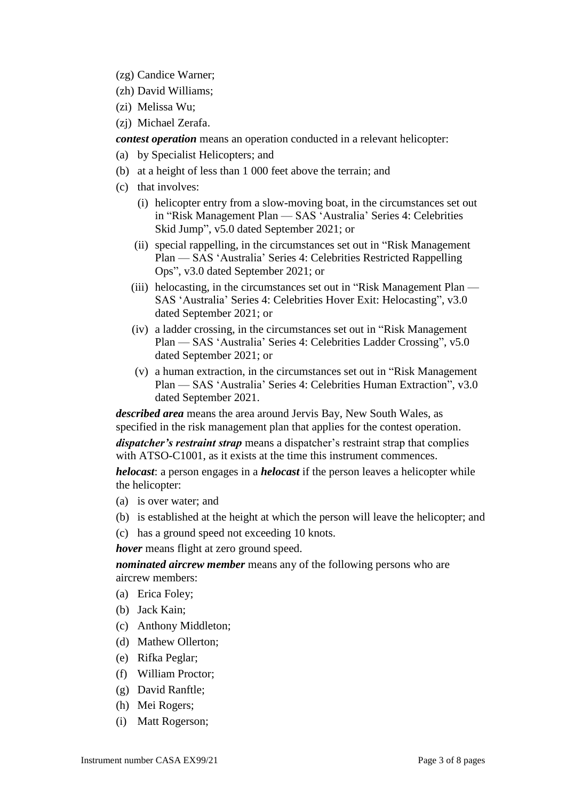- (zg) Candice Warner;
- (zh) David Williams;
- (zi) Melissa Wu;
- (zj) Michael Zerafa.

*contest operation* means an operation conducted in a relevant helicopter:

- (a) by Specialist Helicopters; and
- (b) at a height of less than 1 000 feet above the terrain; and
- (c) that involves:
	- (i) helicopter entry from a slow-moving boat, in the circumstances set out in "Risk Management Plan — SAS 'Australia' Series 4: Celebrities Skid Jump", v5.0 dated September 2021; or
	- (ii) special rappelling, in the circumstances set out in "Risk Management Plan — SAS 'Australia' Series 4: Celebrities Restricted Rappelling Ops", v3.0 dated September 2021; or
	- (iii) helocasting, in the circumstances set out in "Risk Management Plan SAS 'Australia' Series 4: Celebrities Hover Exit: Helocasting", v3.0 dated September 2021; or
	- (iv) a ladder crossing, in the circumstances set out in "Risk Management Plan — SAS 'Australia' Series 4: Celebrities Ladder Crossing", v5.0 dated September 2021; or
	- (v) a human extraction, in the circumstances set out in "Risk Management Plan — SAS 'Australia' Series 4: Celebrities Human Extraction", v3.0 dated September 2021.

*described area* means the area around Jervis Bay, New South Wales, as specified in the risk management plan that applies for the contest operation.

*dispatcher's restraint strap* means a dispatcher's restraint strap that complies with ATSO-C1001, as it exists at the time this instrument commences.

*helocast*: a person engages in a *helocast* if the person leaves a helicopter while the helicopter:

- (a) is over water; and
- (b) is established at the height at which the person will leave the helicopter; and
- (c) has a ground speed not exceeding 10 knots.

*hover* means flight at zero ground speed.

*nominated aircrew member* means any of the following persons who are aircrew members:

- (a) Erica Foley;
- (b) Jack Kain;
- (c) Anthony Middleton;
- (d) Mathew Ollerton;
- (e) Rifka Peglar;
- (f) William Proctor;
- (g) David Ranftle;
- (h) Mei Rogers;
- (i) Matt Rogerson;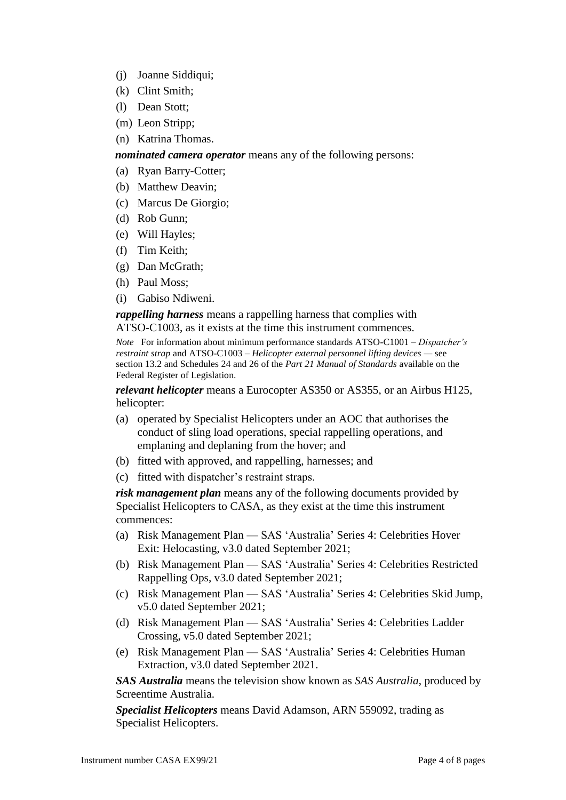- (j) Joanne Siddiqui;
- (k) Clint Smith;
- (l) Dean Stott;
- (m) Leon Stripp;
- (n) Katrina Thomas.

*nominated camera operator* means any of the following persons:

(a) Ryan Barry-Cotter;

- (b) Matthew Deavin;
- (c) Marcus De Giorgio;
- (d) Rob Gunn;
- (e) Will Hayles;
- (f) Tim Keith;
- (g) Dan McGrath;
- (h) Paul Moss;
- (i) Gabiso Ndiweni.

*rappelling harness* means a rappelling harness that complies with ATSO-C1003, as it exists at the time this instrument commences.

*Note* For information about minimum performance standards ATSO-C1001 – *Dispatcher's restraint strap* and ATSO-C1003 – *Helicopter external personnel lifting devices —* see section 13.2 and Schedules 24 and 26 of the *Part 21 Manual of Standards* available on the Federal Register of Legislation.

*relevant helicopter* means a Eurocopter AS350 or AS355, or an Airbus H125, helicopter:

- (a) operated by Specialist Helicopters under an AOC that authorises the conduct of sling load operations, special rappelling operations, and emplaning and deplaning from the hover; and
- (b) fitted with approved, and rappelling, harnesses; and
- (c) fitted with dispatcher's restraint straps.

*risk management plan* means any of the following documents provided by Specialist Helicopters to CASA, as they exist at the time this instrument commences:

- (a) Risk Management Plan SAS 'Australia' Series 4: Celebrities Hover Exit: Helocasting, v3.0 dated September 2021;
- (b) Risk Management Plan SAS 'Australia' Series 4: Celebrities Restricted Rappelling Ops, v3.0 dated September 2021;
- (c) Risk Management Plan SAS 'Australia' Series 4: Celebrities Skid Jump, v5.0 dated September 2021;
- (d) Risk Management Plan SAS 'Australia' Series 4: Celebrities Ladder Crossing, v5.0 dated September 2021;
- (e) Risk Management Plan SAS 'Australia' Series 4: Celebrities Human Extraction, v3.0 dated September 2021.

*SAS Australia* means the television show known as *SAS Australia*, produced by Screentime Australia.

*Specialist Helicopters* means David Adamson, ARN 559092, trading as Specialist Helicopters.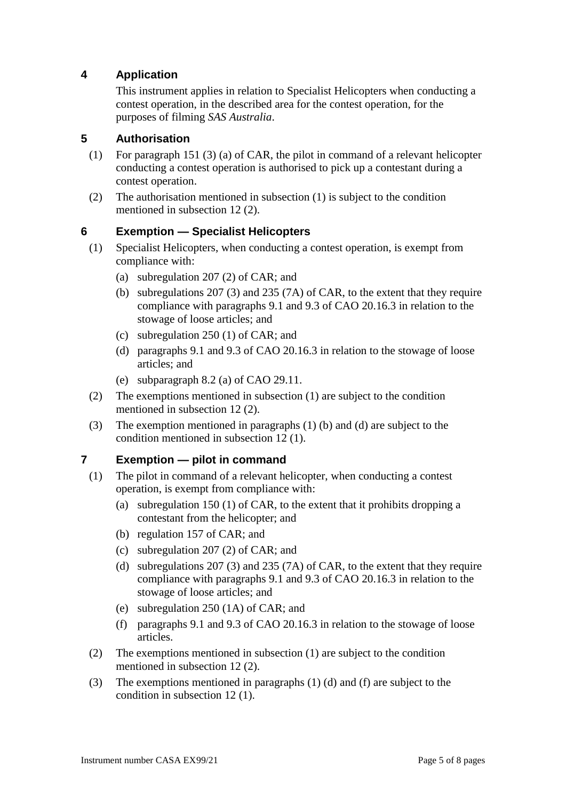# **4 Application**

This instrument applies in relation to Specialist Helicopters when conducting a contest operation, in the described area for the contest operation, for the purposes of filming *SAS Australia*.

### **5 Authorisation**

- (1) For paragraph 151 (3) (a) of CAR, the pilot in command of a relevant helicopter conducting a contest operation is authorised to pick up a contestant during a contest operation.
- (2) The authorisation mentioned in subsection (1) is subject to the condition mentioned in subsection 12 (2).

### **6 Exemption — Specialist Helicopters**

- (1) Specialist Helicopters, when conducting a contest operation, is exempt from compliance with:
	- (a) subregulation 207 (2) of CAR; and
	- (b) subregulations 207 (3) and 235 (7A) of CAR, to the extent that they require compliance with paragraphs 9.1 and 9.3 of CAO 20.16.3 in relation to the stowage of loose articles; and
	- (c) subregulation 250 (1) of CAR; and
	- (d) paragraphs 9.1 and 9.3 of CAO 20.16.3 in relation to the stowage of loose articles; and
	- (e) subparagraph 8.2 (a) of CAO 29.11.
- (2) The exemptions mentioned in subsection (1) are subject to the condition mentioned in subsection 12 (2).
- (3) The exemption mentioned in paragraphs (1) (b) and (d) are subject to the condition mentioned in subsection 12 (1).

### **7 Exemption — pilot in command**

- (1) The pilot in command of a relevant helicopter, when conducting a contest operation, is exempt from compliance with:
	- (a) subregulation 150 (1) of CAR, to the extent that it prohibits dropping a contestant from the helicopter; and
	- (b) regulation 157 of CAR; and
	- (c) subregulation 207 (2) of CAR; and
	- (d) subregulations 207 (3) and 235 (7A) of CAR, to the extent that they require compliance with paragraphs 9.1 and 9.3 of CAO 20.16.3 in relation to the stowage of loose articles; and
	- (e) subregulation 250 (1A) of CAR; and
	- (f) paragraphs 9.1 and 9.3 of CAO 20.16.3 in relation to the stowage of loose articles.
- (2) The exemptions mentioned in subsection (1) are subject to the condition mentioned in subsection 12 (2).
- (3) The exemptions mentioned in paragraphs (1) (d) and (f) are subject to the condition in subsection 12 (1).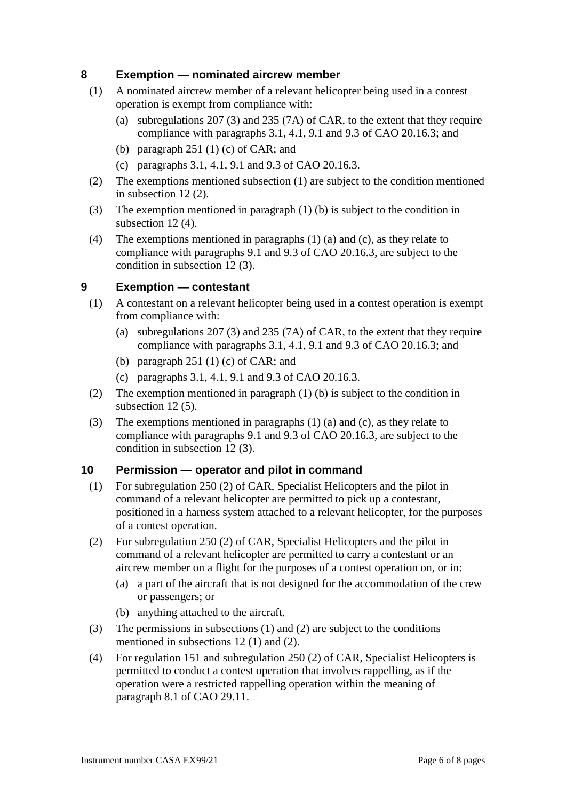### **8 Exemption — nominated aircrew member**

- (1) A nominated aircrew member of a relevant helicopter being used in a contest operation is exempt from compliance with:
	- (a) subregulations 207 (3) and 235 (7A) of CAR, to the extent that they require compliance with paragraphs 3.1, 4.1, 9.1 and 9.3 of CAO 20.16.3; and
	- (b) paragraph  $251$  (1) (c) of CAR; and
	- (c) paragraphs 3.1, 4.1, 9.1 and 9.3 of CAO 20.16.3.
- (2) The exemptions mentioned subsection (1) are subject to the condition mentioned in subsection 12 (2).
- (3) The exemption mentioned in paragraph (1) (b) is subject to the condition in subsection 12(4).
- (4) The exemptions mentioned in paragraphs (1) (a) and (c), as they relate to compliance with paragraphs 9.1 and 9.3 of CAO 20.16.3, are subject to the condition in subsection 12 (3).

### **9 Exemption — contestant**

- (1) A contestant on a relevant helicopter being used in a contest operation is exempt from compliance with:
	- (a) subregulations 207 (3) and 235 (7A) of CAR, to the extent that they require compliance with paragraphs 3.1, 4.1, 9.1 and 9.3 of CAO 20.16.3; and
	- (b) paragraph  $251$  (1) (c) of CAR; and
	- (c) paragraphs 3.1, 4.1, 9.1 and 9.3 of CAO 20.16.3.
- (2) The exemption mentioned in paragraph (1) (b) is subject to the condition in subsection 12(5).
- (3) The exemptions mentioned in paragraphs (1) (a) and (c), as they relate to compliance with paragraphs 9.1 and 9.3 of CAO 20.16.3, are subject to the condition in subsection 12 (3).

### **10 Permission — operator and pilot in command**

- (1) For subregulation 250 (2) of CAR, Specialist Helicopters and the pilot in command of a relevant helicopter are permitted to pick up a contestant, positioned in a harness system attached to a relevant helicopter, for the purposes of a contest operation.
- (2) For subregulation 250 (2) of CAR, Specialist Helicopters and the pilot in command of a relevant helicopter are permitted to carry a contestant or an aircrew member on a flight for the purposes of a contest operation on, or in:
	- (a) a part of the aircraft that is not designed for the accommodation of the crew or passengers; or
	- (b) anything attached to the aircraft.
- (3) The permissions in subsections (1) and (2) are subject to the conditions mentioned in subsections 12 (1) and (2).
- (4) For regulation 151 and subregulation 250 (2) of CAR, Specialist Helicopters is permitted to conduct a contest operation that involves rappelling, as if the operation were a restricted rappelling operation within the meaning of paragraph 8.1 of CAO 29.11.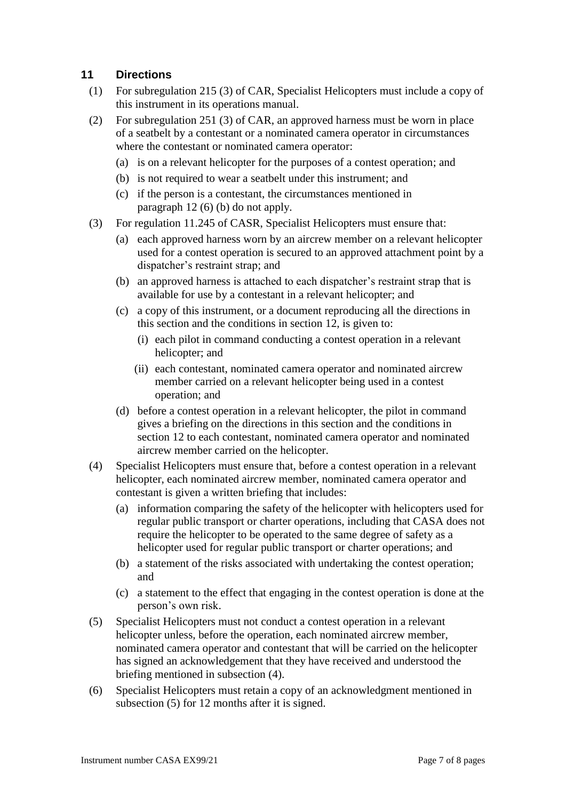### **11 Directions**

- (1) For subregulation 215 (3) of CAR, Specialist Helicopters must include a copy of this instrument in its operations manual.
- (2) For subregulation 251 (3) of CAR, an approved harness must be worn in place of a seatbelt by a contestant or a nominated camera operator in circumstances where the contestant or nominated camera operator:
	- (a) is on a relevant helicopter for the purposes of a contest operation; and
	- (b) is not required to wear a seatbelt under this instrument; and
	- (c) if the person is a contestant, the circumstances mentioned in paragraph 12 (6) (b) do not apply.
- (3) For regulation 11.245 of CASR, Specialist Helicopters must ensure that:
	- (a) each approved harness worn by an aircrew member on a relevant helicopter used for a contest operation is secured to an approved attachment point by a dispatcher's restraint strap; and
	- (b) an approved harness is attached to each dispatcher's restraint strap that is available for use by a contestant in a relevant helicopter; and
	- (c) a copy of this instrument, or a document reproducing all the directions in this section and the conditions in section 12, is given to:
		- (i) each pilot in command conducting a contest operation in a relevant helicopter; and
		- (ii) each contestant, nominated camera operator and nominated aircrew member carried on a relevant helicopter being used in a contest operation; and
	- (d) before a contest operation in a relevant helicopter, the pilot in command gives a briefing on the directions in this section and the conditions in section 12 to each contestant, nominated camera operator and nominated aircrew member carried on the helicopter.
- (4) Specialist Helicopters must ensure that, before a contest operation in a relevant helicopter, each nominated aircrew member, nominated camera operator and contestant is given a written briefing that includes:
	- (a) information comparing the safety of the helicopter with helicopters used for regular public transport or charter operations, including that CASA does not require the helicopter to be operated to the same degree of safety as a helicopter used for regular public transport or charter operations; and
	- (b) a statement of the risks associated with undertaking the contest operation; and
	- (c) a statement to the effect that engaging in the contest operation is done at the person's own risk.
- (5) Specialist Helicopters must not conduct a contest operation in a relevant helicopter unless, before the operation, each nominated aircrew member, nominated camera operator and contestant that will be carried on the helicopter has signed an acknowledgement that they have received and understood the briefing mentioned in subsection (4).
- (6) Specialist Helicopters must retain a copy of an acknowledgment mentioned in subsection (5) for 12 months after it is signed.